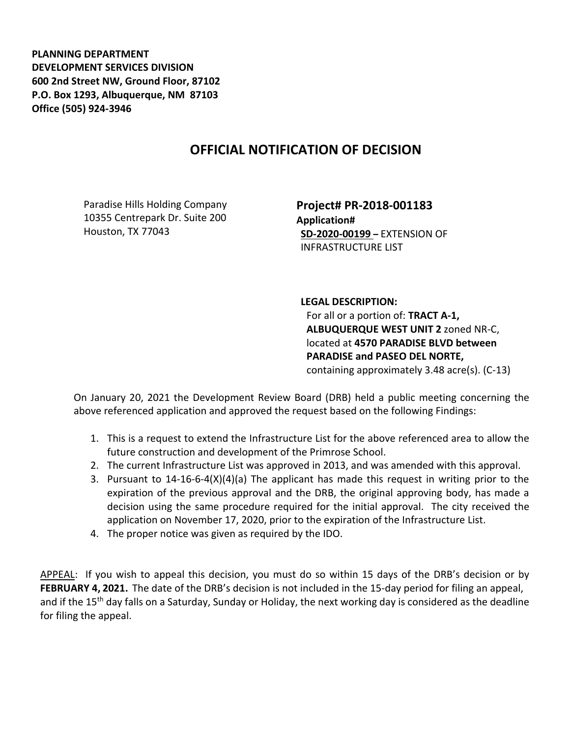**PLANNING DEPARTMENT DEVELOPMENT SERVICES DIVISION 600 2nd Street NW, Ground Floor, 87102 P.O. Box 1293, Albuquerque, NM 87103 Office (505) 924-3946** 

## **OFFICIAL NOTIFICATION OF DECISION**

Paradise Hills Holding Company 10355 Centrepark Dr. Suite 200 Houston, TX 77043

**Project# PR-2018-001183 Application# SD-2020-00199 –** EXTENSION OF INFRASTRUCTURE LIST

**LEGAL DESCRIPTION:** For all or a portion of: **TRACT A-1, ALBUQUERQUE WEST UNIT 2** zoned NR-C, located at **4570 PARADISE BLVD between PARADISE and PASEO DEL NORTE,**  containing approximately 3.48 acre(s). (C-13)

On January 20, 2021 the Development Review Board (DRB) held a public meeting concerning the above referenced application and approved the request based on the following Findings:

- 1. This is a request to extend the Infrastructure List for the above referenced area to allow the future construction and development of the Primrose School.
- 2. The current Infrastructure List was approved in 2013, and was amended with this approval.
- 3. Pursuant to  $14-16-6-4(X)(4)(a)$  The applicant has made this request in writing prior to the expiration of the previous approval and the DRB, the original approving body, has made a decision using the same procedure required for the initial approval. The city received the application on November 17, 2020, prior to the expiration of the Infrastructure List.
- 4. The proper notice was given as required by the IDO.

APPEAL: If you wish to appeal this decision, you must do so within 15 days of the DRB's decision or by **FEBRUARY 4, 2021.** The date of the DRB's decision is not included in the 15-day period for filing an appeal, and if the 15<sup>th</sup> day falls on a Saturday, Sunday or Holiday, the next working day is considered as the deadline for filing the appeal.